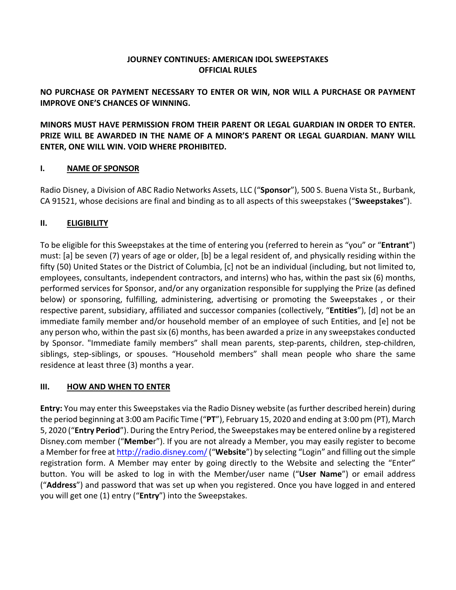# **JOURNEY CONTINUES: AMERICAN IDOL SWEEPSTAKES OFFICIAL RULES**

# **NO PURCHASE OR PAYMENT NECESSARY TO ENTER OR WIN, NOR WILL A PURCHASE OR PAYMENT IMPROVE ONE'S CHANCES OF WINNING.**

**MINORS MUST HAVE PERMISSION FROM THEIR PARENT OR LEGAL GUARDIAN IN ORDER TO ENTER. PRIZE WILL BE AWARDED IN THE NAME OF A MINOR'S PARENT OR LEGAL GUARDIAN. MANY WILL ENTER, ONE WILL WIN. VOID WHERE PROHIBITED.**

## **I. NAME OF SPONSOR**

Radio Disney, a Division of ABC Radio Networks Assets, LLC ("**Sponsor**"), 500 S. Buena Vista St., Burbank, CA 91521, whose decisions are final and binding as to all aspects of this sweepstakes ("**Sweepstakes**").

# **II. ELIGIBILITY**

To be eligible for this Sweepstakes at the time of entering you (referred to herein as "you" or "**Entrant**") must: [a] be seven (7) years of age or older, [b] be a legal resident of, and physically residing within the fifty (50) United States or the District of Columbia, [c] not be an individual (including, but not limited to, employees, consultants, independent contractors, and interns) who has, within the past six (6) months, performed services for Sponsor, and/or any organization responsible for supplying the Prize (as defined below) or sponsoring, fulfilling, administering, advertising or promoting the Sweepstakes , or their respective parent, subsidiary, affiliated and successor companies (collectively, "**Entities**"), [d] not be an immediate family member and/or household member of an employee of such Entities, and [e] not be any person who, within the past six (6) months, has been awarded a prize in any sweepstakes conducted by Sponsor. "Immediate family members" shall mean parents, step-parents, children, step-children, siblings, step-siblings, or spouses. "Household members" shall mean people who share the same residence at least three (3) months a year.

## **III. HOW AND WHEN TO ENTER**

**Entry:** You may enter this Sweepstakes via the Radio Disney website (as further described herein) during the period beginning at 3:00 am Pacific Time ("**PT**"), February 15, 2020 and ending at 3:00 pm (PT), March 5, 2020 ("**Entry Period**"). During the Entry Period, the Sweepstakes may be entered online by a registered Disney.com member ("**Membe**r"). If you are not already a Member, you may easily register to become a Member for free at http://radio.disney.com/("**Website**") by selecting "Login" and filling out the simple registration form. A Member may enter by going directly to the Website and selecting the "Enter" button. You will be asked to log in with the Member/user name ("**User Name**") or email address ("**Address**") and password that was set up when you registered. Once you have logged in and entered you will get one (1) entry ("**Entry**") into the Sweepstakes.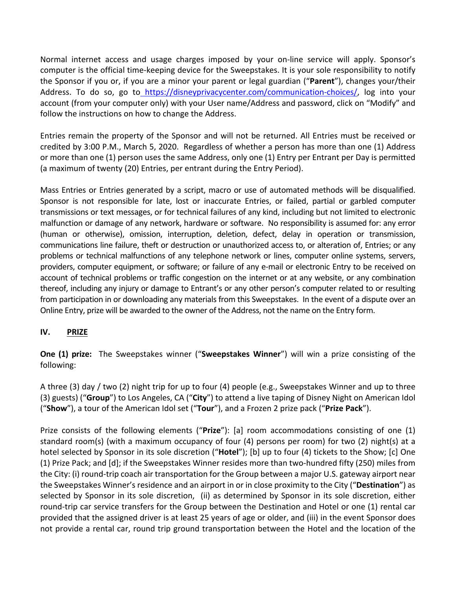Normal internet access and usage charges imposed by your on-line service will apply. Sponsor's computer is the official time-keeping device for the Sweepstakes. It is your sole responsibility to notify the Sponsor if you or, if you are a minor your parent or legal guardian ("**Parent**"), changes your/their Address. To do so, go to https://disneyprivacycenter.com/communication-choices/, log into your account (from your computer only) with your User name/Address and password, click on "Modify" and follow the instructions on how to change the Address.

Entries remain the property of the Sponsor and will not be returned. All Entries must be received or credited by 3:00 P.M., March 5, 2020. Regardless of whether a person has more than one (1) Address or more than one (1) person uses the same Address, only one (1) Entry per Entrant per Day is permitted (a maximum of twenty (20) Entries, per entrant during the Entry Period).

Mass Entries or Entries generated by a script, macro or use of automated methods will be disqualified. Sponsor is not responsible for late, lost or inaccurate Entries, or failed, partial or garbled computer transmissions or text messages, or for technical failures of any kind, including but not limited to electronic malfunction or damage of any network, hardware or software. No responsibility is assumed for: any error (human or otherwise), omission, interruption, deletion, defect, delay in operation or transmission, communications line failure, theft or destruction or unauthorized access to, or alteration of, Entries; or any problems or technical malfunctions of any telephone network or lines, computer online systems, servers, providers, computer equipment, or software; or failure of any e-mail or electronic Entry to be received on account of technical problems or traffic congestion on the internet or at any website, or any combination thereof, including any injury or damage to Entrant's or any other person's computer related to or resulting from participation in or downloading any materials from this Sweepstakes. In the event of a dispute over an Online Entry, prize will be awarded to the owner of the Address, not the name on the Entry form.

## **IV. PRIZE**

**One (1) prize:** The Sweepstakes winner ("**Sweepstakes Winner**") will win a prize consisting of the following:

A three (3) day / two (2) night trip for up to four (4) people (e.g., Sweepstakes Winner and up to three (3) guests) ("**Group**") to Los Angeles, CA ("**City**") to attend a live taping of Disney Night on American Idol ("**Show**"), a tour of the American Idol set ("**Tour**"), and a Frozen 2 prize pack ("**Prize Pack**").

Prize consists of the following elements ("**Prize**"): [a] room accommodations consisting of one (1) standard room(s) (with a maximum occupancy of four (4) persons per room) for two (2) night(s) at a hotel selected by Sponsor in its sole discretion ("**Hotel**"); [b] up to four (4) tickets to the Show; [c] One (1) Prize Pack; and [d]; if the Sweepstakes Winner resides more than two-hundred fifty (250) miles from the City: (i) round-trip coach air transportation for the Group between a major U.S. gateway airport near the Sweepstakes Winner's residence and an airport in or in close proximity to the City ("**Destination**") as selected by Sponsor in its sole discretion, (ii) as determined by Sponsor in its sole discretion, either round-trip car service transfers for the Group between the Destination and Hotel or one (1) rental car provided that the assigned driver is at least 25 years of age or older, and (iii) in the event Sponsor does not provide a rental car, round trip ground transportation between the Hotel and the location of the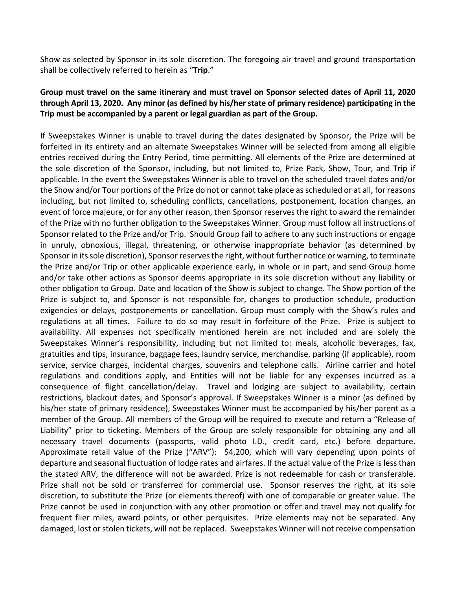Show as selected by Sponsor in its sole discretion. The foregoing air travel and ground transportation shall be collectively referred to herein as "**Trip**."

#### **Group must travel on the same itinerary and must travel on Sponsor selected dates of April 11, 2020 through April 13, 2020. Any minor (as defined by his/her state of primary residence) participating in the Trip must be accompanied by a parent or legal guardian as part of the Group.**

If Sweepstakes Winner is unable to travel during the dates designated by Sponsor, the Prize will be forfeited in its entirety and an alternate Sweepstakes Winner will be selected from among all eligible entries received during the Entry Period, time permitting. All elements of the Prize are determined at the sole discretion of the Sponsor, including, but not limited to, Prize Pack, Show, Tour, and Trip if applicable. In the event the Sweepstakes Winner is able to travel on the scheduled travel dates and/or the Show and/or Tour portions of the Prize do not or cannot take place as scheduled or at all, for reasons including, but not limited to, scheduling conflicts, cancellations, postponement, location changes, an event of force majeure, or for any other reason, then Sponsor reserves the right to award the remainder of the Prize with no further obligation to the Sweepstakes Winner. Group must follow all instructions of Sponsor related to the Prize and/or Trip. Should Group fail to adhere to any such instructions or engage in unruly, obnoxious, illegal, threatening, or otherwise inappropriate behavior (as determined by Sponsor in its sole discretion), Sponsor reserves the right, without further notice or warning, to terminate the Prize and/or Trip or other applicable experience early, in whole or in part, and send Group home and/or take other actions as Sponsor deems appropriate in its sole discretion without any liability or other obligation to Group. Date and location of the Show is subject to change. The Show portion of the Prize is subject to, and Sponsor is not responsible for, changes to production schedule, production exigencies or delays, postponements or cancellation. Group must comply with the Show's rules and regulations at all times. Failure to do so may result in forfeiture of the Prize. Prize is subject to availability. All expenses not specifically mentioned herein are not included and are solely the Sweepstakes Winner's responsibility, including but not limited to: meals, alcoholic beverages, fax, gratuities and tips, insurance, baggage fees, laundry service, merchandise, parking (if applicable), room service, service charges, incidental charges, souvenirs and telephone calls. Airline carrier and hotel regulations and conditions apply, and Entities will not be liable for any expenses incurred as a consequence of flight cancellation/delay. Travel and lodging are subject to availability, certain restrictions, blackout dates, and Sponsor's approval. If Sweepstakes Winner is a minor (as defined by his/her state of primary residence), Sweepstakes Winner must be accompanied by his/her parent as a member of the Group. All members of the Group will be required to execute and return a "Release of Liability" prior to ticketing. Members of the Group are solely responsible for obtaining any and all necessary travel documents (passports, valid photo I.D., credit card, etc.) before departure. Approximate retail value of the Prize ("ARV"): \$4,200, which will vary depending upon points of departure and seasonal fluctuation of lodge rates and airfares. If the actual value of the Prize is less than the stated ARV, the difference will not be awarded. Prize is not redeemable for cash or transferable. Prize shall not be sold or transferred for commercial use. Sponsor reserves the right, at its sole discretion, to substitute the Prize (or elements thereof) with one of comparable or greater value. The Prize cannot be used in conjunction with any other promotion or offer and travel may not qualify for frequent flier miles, award points, or other perquisites. Prize elements may not be separated. Any damaged, lost or stolen tickets, will not be replaced. Sweepstakes Winner will not receive compensation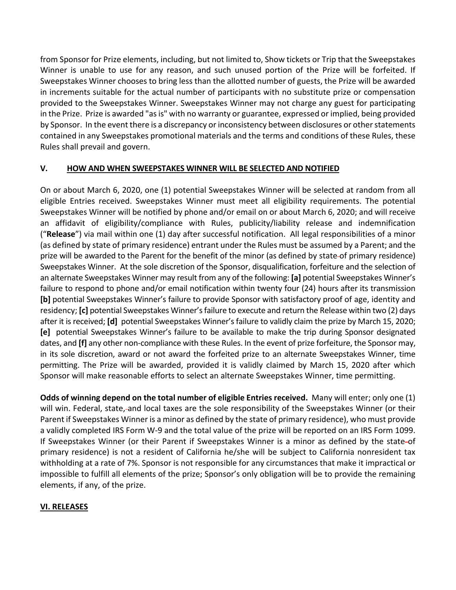from Sponsor for Prize elements, including, but not limited to, Show tickets or Trip that the Sweepstakes Winner is unable to use for any reason, and such unused portion of the Prize will be forfeited. If Sweepstakes Winner chooses to bring less than the allotted number of guests, the Prize will be awarded in increments suitable for the actual number of participants with no substitute prize or compensation provided to the Sweepstakes Winner. Sweepstakes Winner may not charge any guest for participating in the Prize. Prize is awarded "as is" with no warranty or guarantee, expressed or implied, being provided by Sponsor. In the event there is a discrepancy or inconsistency between disclosures or other statements contained in any Sweepstakes promotional materials and the terms and conditions of these Rules, these Rules shall prevail and govern.

## **V. HOW AND WHEN SWEEPSTAKES WINNER WILL BE SELECTED AND NOTIFIED**

On or about March 6, 2020, one (1) potential Sweepstakes Winner will be selected at random from all eligible Entries received. Sweepstakes Winner must meet all eligibility requirements. The potential Sweepstakes Winner will be notified by phone and/or email on or about March 6, 2020; and will receive an affidavit of eligibility/compliance with Rules, publicity/liability release and indemnification ("**Release**") via mail within one (1) day after successful notification. All legal responsibilities of a minor (as defined by state of primary residence) entrant under the Rules must be assumed by a Parent; and the prize will be awarded to the Parent for the benefit of the minor (as defined by state of primary residence) Sweepstakes Winner. At the sole discretion of the Sponsor, disqualification, forfeiture and the selection of an alternate Sweepstakes Winner may result from any of the following: **[a]** potential Sweepstakes Winner's failure to respond to phone and/or email notification within twenty four (24) hours after its transmission **[b]** potential Sweepstakes Winner's failure to provide Sponsor with satisfactory proof of age, identity and residency; **[c]** potential Sweepstakes Winner's failure to execute and return the Release within two (2) days after it is received; **[d]** potential Sweepstakes Winner's failure to validly claim the prize by March 15, 2020; **[e]** potential Sweepstakes Winner's failure to be available to make the trip during Sponsor designated dates, and **[f]** any other non-compliance with these Rules. In the event of prize forfeiture, the Sponsor may, in its sole discretion, award or not award the forfeited prize to an alternate Sweepstakes Winner, time permitting. The Prize will be awarded, provided it is validly claimed by March 15, 2020 after which Sponsor will make reasonable efforts to select an alternate Sweepstakes Winner, time permitting.

**Odds of winning depend on the total number of eligible Entries received.** Many will enter; only one (1) will win. Federal, state, and local taxes are the sole responsibility of the Sweepstakes Winner (or their Parent if Sweepstakes Winner is a minor as defined by the state of primary residence), who must provide a validly completed IRS Form W-9 and the total value of the prize will be reported on an IRS Form 1099. If Sweepstakes Winner (or their Parent if Sweepstakes Winner is a minor as defined by the state of primary residence) is not a resident of California he/she will be subject to California nonresident tax withholding at a rate of 7%. Sponsor is not responsible for any circumstances that make it impractical or impossible to fulfill all elements of the prize; Sponsor's only obligation will be to provide the remaining elements, if any, of the prize.

## **VI. RELEASES**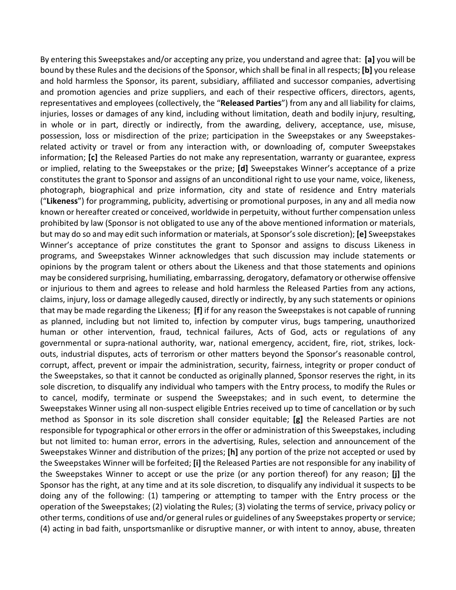By entering this Sweepstakes and/or accepting any prize, you understand and agree that: **[a]** you will be bound by these Rules and the decisions of the Sponsor, which shall be final in all respects; **[b]** you release and hold harmless the Sponsor, its parent, subsidiary, affiliated and successor companies, advertising and promotion agencies and prize suppliers, and each of their respective officers, directors, agents, representatives and employees (collectively, the "**Released Parties**") from any and all liability for claims, injuries, losses or damages of any kind, including without limitation, death and bodily injury, resulting, in whole or in part, directly or indirectly, from the awarding, delivery, acceptance, use, misuse, possession, loss or misdirection of the prize; participation in the Sweepstakes or any Sweepstakesrelated activity or travel or from any interaction with, or downloading of, computer Sweepstakes information; **[c]** the Released Parties do not make any representation, warranty or guarantee, express or implied, relating to the Sweepstakes or the prize; **[d]** Sweepstakes Winner's acceptance of a prize constitutes the grant to Sponsor and assigns of an unconditional right to use your name, voice, likeness, photograph, biographical and prize information, city and state of residence and Entry materials ("**Likeness**") for programming, publicity, advertising or promotional purposes, in any and all media now known or hereafter created or conceived, worldwide in perpetuity, without further compensation unless prohibited by law (Sponsor is not obligated to use any of the above mentioned information or materials, but may do so and may edit such information or materials, at Sponsor's sole discretion); **[e]** Sweepstakes Winner's acceptance of prize constitutes the grant to Sponsor and assigns to discuss Likeness in programs, and Sweepstakes Winner acknowledges that such discussion may include statements or opinions by the program talent or others about the Likeness and that those statements and opinions may be considered surprising, humiliating, embarrassing, derogatory, defamatory or otherwise offensive or injurious to them and agrees to release and hold harmless the Released Parties from any actions, claims, injury, loss or damage allegedly caused, directly or indirectly, by any such statements or opinions that may be made regarding the Likeness; **[f]** if for any reason the Sweepstakes is not capable of running as planned, including but not limited to, infection by computer virus, bugs tampering, unauthorized human or other intervention, fraud, technical failures, Acts of God, acts or regulations of any governmental or supra-national authority, war, national emergency, accident, fire, riot, strikes, lockouts, industrial disputes, acts of terrorism or other matters beyond the Sponsor's reasonable control, corrupt, affect, prevent or impair the administration, security, fairness, integrity or proper conduct of the Sweepstakes, so that it cannot be conducted as originally planned, Sponsor reserves the right, in its sole discretion, to disqualify any individual who tampers with the Entry process, to modify the Rules or to cancel, modify, terminate or suspend the Sweepstakes; and in such event, to determine the Sweepstakes Winner using all non-suspect eligible Entries received up to time of cancellation or by such method as Sponsor in its sole discretion shall consider equitable; **[g]** the Released Parties are not responsible for typographical or other errors in the offer or administration of this Sweepstakes, including but not limited to: human error, errors in the advertising, Rules, selection and announcement of the Sweepstakes Winner and distribution of the prizes; **[h]** any portion of the prize not accepted or used by the Sweepstakes Winner will be forfeited; **[i]** the Released Parties are not responsible for any inability of the Sweepstakes Winner to accept or use the prize (or any portion thereof) for any reason; **[j]** the Sponsor has the right, at any time and at its sole discretion, to disqualify any individual it suspects to be doing any of the following: (1) tampering or attempting to tamper with the Entry process or the operation of the Sweepstakes; (2) violating the Rules; (3) violating the terms of service, privacy policy or other terms, conditions of use and/or general rules or guidelines of any Sweepstakes property or service; (4) acting in bad faith, unsportsmanlike or disruptive manner, or with intent to annoy, abuse, threaten